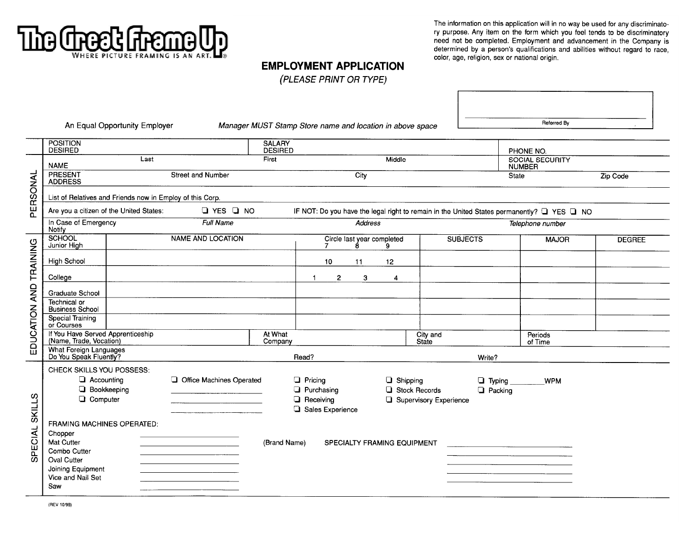

The information on this application will in no way be used for any discriminatory purpose. Any item on the form which you feel tends to be discriminatory need not be completed. Employment and advancement in the Company is determined by a person's qualifications and abilities without regard to race, color, age, religion, sex or national origin.

## **EMPLOYMENT APPLICATION**

(PLEASE PRINT OR TYPE)

An Equal Opportunity Employer

Manager MUST Stamp Store name and location in above space

Referred By

|                        | <b>POSITION</b><br><b>DESIRED</b>                            |  |                          | <b>SALARY</b><br><b>DESIRED</b> |                                                                                            |                  |                                 |                                         |                                         |                  | PHONE NO.          |               |  |
|------------------------|--------------------------------------------------------------|--|--------------------------|---------------------------------|--------------------------------------------------------------------------------------------|------------------|---------------------------------|-----------------------------------------|-----------------------------------------|------------------|--------------------|---------------|--|
|                        | Last<br><b>NAME</b>                                          |  |                          | First<br>Middle                 |                                                                                            |                  |                                 | <b>SOCIAL SECURITY</b><br><b>NUMBER</b> |                                         |                  |                    |               |  |
|                        | PRESENT<br>Street and Number<br><b>ADDRESS</b>               |  | City                     |                                 |                                                                                            | State            |                                 | Zip Code                                |                                         |                  |                    |               |  |
| PERSONAL               | List of Relatives and Friends now in Employ of this Corp.    |  |                          |                                 |                                                                                            |                  |                                 |                                         |                                         |                  |                    |               |  |
|                        | Are you a citizen of the United States:                      |  | $\Box$ YES $\Box$ NO     |                                 | IF NOT: Do you have the legal right to remain in the United States permanently? Q YES Q NO |                  |                                 |                                         |                                         |                  |                    |               |  |
|                        | In Case of Emergency<br>Notify                               |  | <b>Full Name</b>         |                                 | Address                                                                                    |                  |                                 |                                         |                                         | Telephone number |                    |               |  |
|                        | <b>SCHOOL</b><br>Junior High                                 |  | <b>NAME AND LOCATION</b> |                                 |                                                                                            | 7                | Circle last year completed<br>8 | ۹                                       |                                         | <b>SUBJECTS</b>  | <b>MAJOR</b>       | <b>DEGREE</b> |  |
| EDUCATION AND TRAINING | <b>High School</b>                                           |  |                          |                                 |                                                                                            | 10               | 11                              | 12                                      |                                         |                  |                    |               |  |
|                        | College                                                      |  |                          |                                 | -1                                                                                         | $\overline{2}$   | 3                               | 4                                       |                                         |                  |                    |               |  |
|                        | Graduate School                                              |  |                          |                                 |                                                                                            |                  |                                 |                                         |                                         |                  |                    |               |  |
|                        | Technical or<br><b>Business School</b>                       |  |                          |                                 |                                                                                            |                  |                                 |                                         |                                         |                  |                    |               |  |
|                        | <b>Special Training</b><br>or Courses                        |  |                          |                                 |                                                                                            |                  |                                 |                                         |                                         |                  |                    |               |  |
|                        | If You Have Served Apprenticeship<br>(Name, Trade, Vocation) |  |                          | At What<br>Company              |                                                                                            |                  |                                 |                                         | City and<br>State                       |                  | Periods<br>of Time |               |  |
|                        | What Foreign Languages<br>Do You Speak Fluently?             |  |                          |                                 | Read?                                                                                      |                  |                                 |                                         |                                         | Write?           |                    |               |  |
|                        | CHECK SKILLS YOU POSSESS:                                    |  |                          |                                 |                                                                                            |                  |                                 |                                         |                                         |                  |                    |               |  |
|                        | $\Box$ Accounting<br><b>Bookkeeping</b>                      |  | Office Machines Operated |                                 | $\Box$ Pricing<br>$\Box$ Purchasing                                                        |                  |                                 | $\Box$ Shipping                         |                                         | $\Box$ Typing    | <b>WPM</b>         |               |  |
|                        | Computer                                                     |  |                          |                                 | Receiving                                                                                  |                  |                                 |                                         | Stock Records<br>Supervisory Experience | $\Box$ Packing   |                    |               |  |
| <b>SKILLS</b>          |                                                              |  |                          |                                 |                                                                                            | Sales Experience |                                 |                                         |                                         |                  |                    |               |  |
|                        | <b>FRAMING MACHINES OPERATED:</b>                            |  |                          |                                 |                                                                                            |                  |                                 |                                         |                                         |                  |                    |               |  |
| SPECIAL                | Chopper<br><b>Mat Cutter</b><br>SPECIALTY FRAMING EQUIPMENT  |  |                          |                                 |                                                                                            |                  |                                 |                                         |                                         |                  |                    |               |  |
|                        | Combo Cutter                                                 |  |                          | (Brand Name)                    |                                                                                            |                  |                                 |                                         |                                         |                  |                    |               |  |
|                        | Oval Cutter                                                  |  |                          |                                 |                                                                                            |                  |                                 |                                         |                                         |                  |                    |               |  |
|                        | Joining Equipment                                            |  |                          |                                 |                                                                                            |                  |                                 |                                         |                                         |                  |                    |               |  |
|                        | Vice and Nail Set<br>Saw                                     |  |                          |                                 |                                                                                            |                  |                                 |                                         |                                         |                  |                    |               |  |
|                        |                                                              |  |                          |                                 |                                                                                            |                  |                                 |                                         |                                         |                  |                    |               |  |